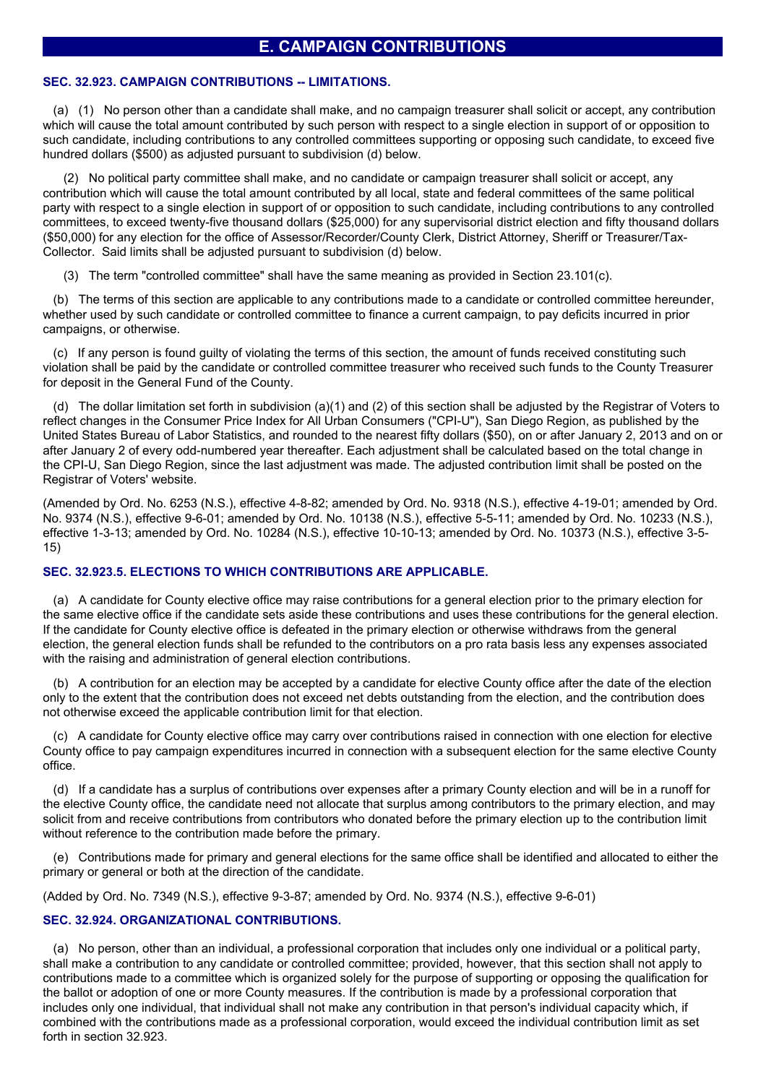# **E. CAMPAIGN CONTRIBUTIONS**

#### **SEC. 32.923. CAMPAIGN CONTRIBUTIONS -- LIMITATIONS.**

(a) (1) No person other than a candidate shall make, and no campaign treasurer shall solicit or accept, any contribution which will cause the total amount contributed by such person with respect to a single election in support of or opposition to such candidate, including contributions to any controlled committees supporting or opposing such candidate, to exceed five hundred dollars (\$500) as adjusted pursuant to subdivision (d) below.

(2) No political party committee shall make, and no candidate or campaign treasurer shall solicit or accept, any contribution which will cause the total amount contributed by all local, state and federal committees of the same political party with respect to a single election in support of or opposition to such candidate, including contributions to any controlled committees, to exceed twenty-five thousand dollars (\$25,000) for any supervisorial district election and fifty thousand dollars (\$50,000) for any election for the office of Assessor/Recorder/County Clerk, District Attorney, Sheriff or Treasurer/Tax-Collector. Said limits shall be adjusted pursuant to subdivision (d) below.

(3) The term "controlled committee" shall have the same meaning as provided in Section 23.101(c).

(b) The terms of this section are applicable to any contributions made to a candidate or controlled committee hereunder, whether used by such candidate or controlled committee to finance a current campaign, to pay deficits incurred in prior campaigns, or otherwise.

(c) If any person is found guilty of violating the terms of this section, the amount of funds received constituting such violation shall be paid by the candidate or controlled committee treasurer who received such funds to the County Treasurer for deposit in the General Fund of the County.

(d) The dollar limitation set forth in subdivision (a)(1) and (2) of this section shall be adjusted by the Registrar of Voters to reflect changes in the Consumer Price Index for All Urban Consumers ("CPI-U"), San Diego Region, as published by the United States Bureau of Labor Statistics, and rounded to the nearest fifty dollars (\$50), on or after January 2, 2013 and on or after January 2 of every odd-numbered year thereafter. Each adjustment shall be calculated based on the total change in the CPI-U, San Diego Region, since the last adjustment was made. The adjusted contribution limit shall be posted on the Registrar of Voters' website.

(Amended by Ord. No. 6253 (N.S.), effective 4-8-82; amended by Ord. No. 9318 (N.S.), effective 4-19-01; amended by Ord. No. 9374 (N.S.), effective 9-6-01; amended by Ord. No. 10138 (N.S.), effective 5-5-11; amended by Ord. No. 10233 (N.S.), effective 1-3-13; amended by Ord. No. 10284 (N.S.), effective 10-10-13; amended by Ord. No. 10373 (N.S.), effective 3-5- 15)

## **SEC. 32.923.5. ELECTIONS TO WHICH CONTRIBUTIONS ARE APPLICABLE.**

(a) A candidate for County elective office may raise contributions for a general election prior to the primary election for the same elective office if the candidate sets aside these contributions and uses these contributions for the general election. If the candidate for County elective office is defeated in the primary election or otherwise withdraws from the general election, the general election funds shall be refunded to the contributors on a pro rata basis less any expenses associated with the raising and administration of general election contributions.

(b) A contribution for an election may be accepted by a candidate for elective County office after the date of the election only to the extent that the contribution does not exceed net debts outstanding from the election, and the contribution does not otherwise exceed the applicable contribution limit for that election.

(c) A candidate for County elective office may carry over contributions raised in connection with one election for elective County office to pay campaign expenditures incurred in connection with a subsequent election for the same elective County office.

(d) If a candidate has a surplus of contributions over expenses after a primary County election and will be in a runoff for the elective County office, the candidate need not allocate that surplus among contributors to the primary election, and may solicit from and receive contributions from contributors who donated before the primary election up to the contribution limit without reference to the contribution made before the primary.

(e) Contributions made for primary and general elections for the same office shall be identified and allocated to either the primary or general or both at the direction of the candidate.

(Added by Ord. No. 7349 (N.S.), effective 9-3-87; amended by Ord. No. 9374 (N.S.), effective 9-6-01)

### **SEC. 32.924. ORGANIZATIONAL CONTRIBUTIONS.**

(a) No person, other than an individual, a professional corporation that includes only one individual or a political party, shall make a contribution to any candidate or controlled committee; provided, however, that this section shall not apply to contributions made to a committee which is organized solely for the purpose of supporting or opposing the qualification for the ballot or adoption of one or more County measures. If the contribution is made by a professional corporation that includes only one individual, that individual shall not make any contribution in that person's individual capacity which, if combined with the contributions made as a professional corporation, would exceed the individual contribution limit as set forth in section 32.923.